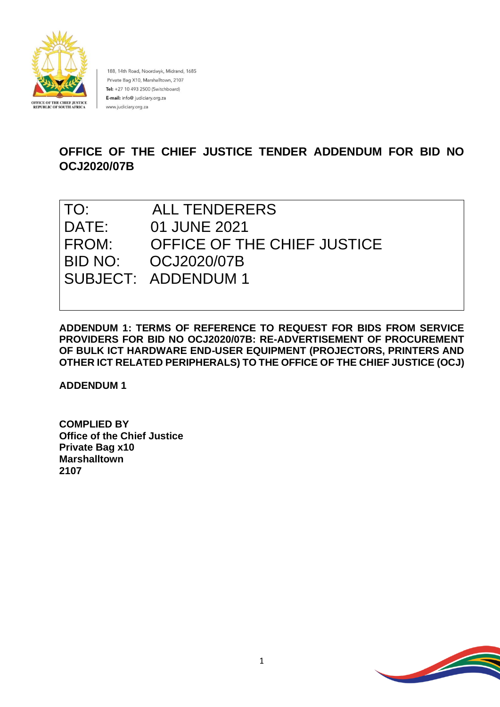

188, 14th Road, Noordwyk, Midrand, 1685 Private Bag X10, Marshalltown, 2107 Tel: +27 10 493 2500 (Switchboard) E-mail: info@ judiciary.org.za www.judiciary.org.za

# **OFFICE OF THE CHIEF JUSTICE TENDER ADDENDUM FOR BID NO OCJ2020/07B**

| TO:   | ALL TENDERERS               |
|-------|-----------------------------|
| DATE: | 01 JUNE 2021                |
| FROM: | OFFICE OF THE CHIEF JUSTICE |
|       | BID NO: 0CJ2020/07B         |
|       | SUBJECT: ADDENDUM 1         |

**ADDENDUM 1: TERMS OF REFERENCE TO REQUEST FOR BIDS FROM SERVICE PROVIDERS FOR BID NO OCJ2020/07B: RE-ADVERTISEMENT OF PROCUREMENT OF BULK ICT HARDWARE END-USER EQUIPMENT (PROJECTORS, PRINTERS AND OTHER ICT RELATED PERIPHERALS) TO THE OFFICE OF THE CHIEF JUSTICE (OCJ)**

**ADDENDUM 1**

**COMPLIED BY Office of the Chief Justice Private Bag x10 Marshalltown 2107**

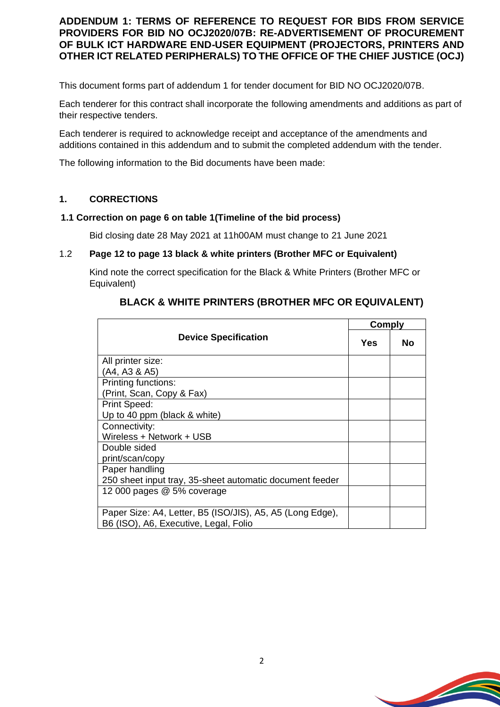## **ADDENDUM 1: TERMS OF REFERENCE TO REQUEST FOR BIDS FROM SERVICE PROVIDERS FOR BID NO OCJ2020/07B: RE-ADVERTISEMENT OF PROCUREMENT OF BULK ICT HARDWARE END-USER EQUIPMENT (PROJECTORS, PRINTERS AND OTHER ICT RELATED PERIPHERALS) TO THE OFFICE OF THE CHIEF JUSTICE (OCJ)**

This document forms part of addendum 1 for tender document for BID NO OCJ2020/07B.

Each tenderer for this contract shall incorporate the following amendments and additions as part of their respective tenders.

Each tenderer is required to acknowledge receipt and acceptance of the amendments and additions contained in this addendum and to submit the completed addendum with the tender.

The following information to the Bid documents have been made:

### **1. CORRECTIONS**

#### **1.1 Correction on page 6 on table 1(Timeline of the bid process)**

Bid closing date 28 May 2021 at 11h00AM must change to 21 June 2021

#### 1.2 **Page 12 to page 13 black & white printers (Brother MFC or Equivalent)**

Kind note the correct specification for the Black & White Printers (Brother MFC or Equivalent)

| <b>Device Specification</b>                                                                        |  | <b>Comply</b> |  |
|----------------------------------------------------------------------------------------------------|--|---------------|--|
|                                                                                                    |  | No            |  |
| All printer size:                                                                                  |  |               |  |
| (A4, A3 & A5)                                                                                      |  |               |  |
| Printing functions:                                                                                |  |               |  |
| (Print, Scan, Copy & Fax)                                                                          |  |               |  |
| Print Speed:                                                                                       |  |               |  |
| Up to 40 ppm (black & white)                                                                       |  |               |  |
| Connectivity:                                                                                      |  |               |  |
| Wireless + Network + USB                                                                           |  |               |  |
| Double sided                                                                                       |  |               |  |
| print/scan/copy                                                                                    |  |               |  |
| Paper handling                                                                                     |  |               |  |
| 250 sheet input tray, 35-sheet automatic document feeder                                           |  |               |  |
| 12 000 pages @ 5% coverage                                                                         |  |               |  |
| Paper Size: A4, Letter, B5 (ISO/JIS), A5, A5 (Long Edge),<br>B6 (ISO), A6, Executive, Legal, Folio |  |               |  |

## **BLACK & WHITE PRINTERS (BROTHER MFC OR EQUIVALENT)**

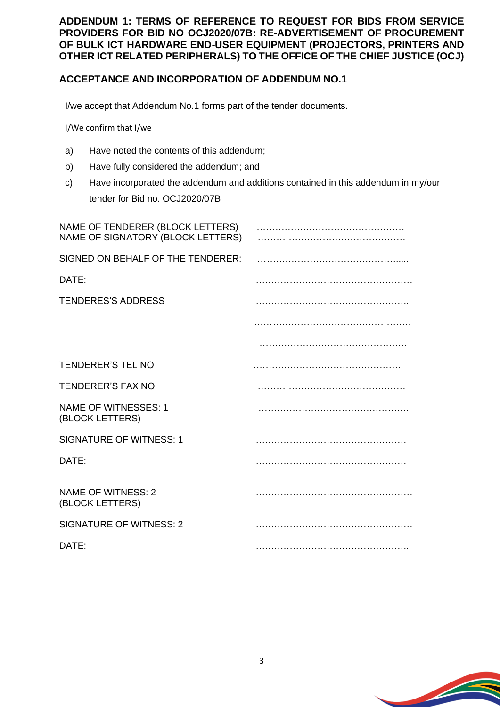**ADDENDUM 1: TERMS OF REFERENCE TO REQUEST FOR BIDS FROM SERVICE PROVIDERS FOR BID NO OCJ2020/07B: RE-ADVERTISEMENT OF PROCUREMENT OF BULK ICT HARDWARE END-USER EQUIPMENT (PROJECTORS, PRINTERS AND OTHER ICT RELATED PERIPHERALS) TO THE OFFICE OF THE CHIEF JUSTICE (OCJ)**

## **ACCEPTANCE AND INCORPORATION OF ADDENDUM NO.1**

I/we accept that Addendum No.1 forms part of the tender documents.

I/We confirm that I/we

- a) Have noted the contents of this addendum;
- b) Have fully considered the addendum; and
- c) Have incorporated the addendum and additions contained in this addendum in my/our tender for Bid no. OCJ2020/07B

| NAME OF TENDERER (BLOCK LETTERS)<br>NAME OF SIGNATORY (BLOCK LETTERS) |  |
|-----------------------------------------------------------------------|--|
| SIGNED ON BEHALF OF THE TENDERER:                                     |  |
| DATE:                                                                 |  |
| <b>TENDERES'S ADDRESS</b>                                             |  |
|                                                                       |  |
|                                                                       |  |
| <b>TENDERER'S TEL NO</b>                                              |  |
| <b>TENDERER'S FAX NO</b>                                              |  |
| <b>NAME OF WITNESSES: 1</b><br>(BLOCK LETTERS)                        |  |
| <b>SIGNATURE OF WITNESS: 1</b>                                        |  |
| DATE:                                                                 |  |
| <b>NAME OF WITNESS: 2</b><br>(BLOCK LETTERS)                          |  |
| <b>SIGNATURE OF WITNESS: 2</b>                                        |  |
| DATE:                                                                 |  |